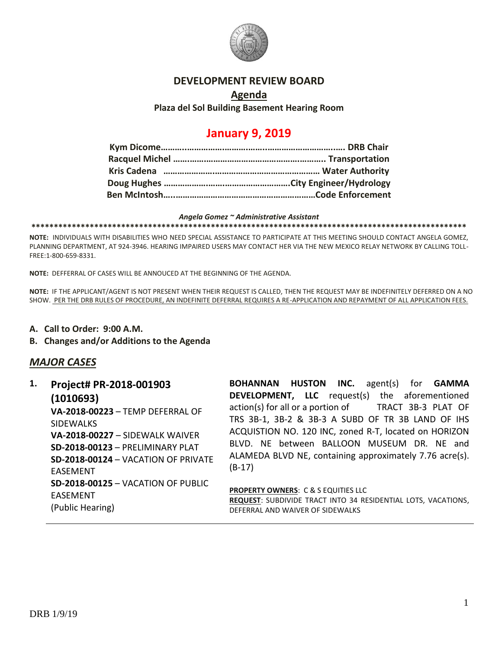

#### **DEVELOPMENT REVIEW BOARD**

### **Agenda Plaza del Sol Building Basement Hearing Room**

# **January 9, 2019**

#### *Angela Gomez ~ Administrative Assistant*

**\*\*\*\*\*\*\*\*\*\*\*\*\*\*\*\*\*\*\*\*\*\*\*\*\*\*\*\*\*\*\*\*\*\*\*\*\*\*\*\*\*\*\*\*\*\*\*\*\*\*\*\*\*\*\*\*\*\*\*\*\*\*\*\*\*\*\*\*\*\*\*\*\*\*\*\*\*\*\*\*\*\*\*\*\*\*\*\*\*\*\*\*\*\*\*\*\***

**NOTE:** INDIVIDUALS WITH DISABILITIES WHO NEED SPECIAL ASSISTANCE TO PARTICIPATE AT THIS MEETING SHOULD CONTACT ANGELA GOMEZ, PLANNING DEPARTMENT, AT 924-3946. HEARING IMPAIRED USERS MAY CONTACT HER VIA THE NEW MEXICO RELAY NETWORK BY CALLING TOLL-FREE:1-800-659-8331.

**NOTE:** DEFFERRAL OF CASES WILL BE ANNOUCED AT THE BEGINNING OF THE AGENDA.

**NOTE:** IF THE APPLICANT/AGENT IS NOT PRESENT WHEN THEIR REQUEST IS CALLED, THEN THE REQUEST MAY BE INDEFINITELY DEFERRED ON A NO SHOW. PER THE DRB RULES OF PROCEDURE, AN INDEFINITE DEFERRAL REQUIRES A RE-APPLICATION AND REPAYMENT OF ALL APPLICATION FEES.

- **A. Call to Order: 9:00 A.M.**
- **B. Changes and/or Additions to the Agenda**

### *MAJOR CASES*

**1. Project# PR-2018-001903 (1010693) VA-2018-00223** – TEMP DEFERRAL OF SIDEWALKS **VA-2018-00227** – SIDEWALK WAIVER **SD-2018-00123** – PRELIMINARY PLAT **SD-2018-00124** – VACATION OF PRIVATE EASEMENT **SD-2018-00125** – VACATION OF PUBLIC EASEMENT (Public Hearing)

**BOHANNAN HUSTON INC.** agent(s) for **GAMMA DEVELOPMENT, LLC** request(s) the aforementioned action(s) for all or a portion of TRACT 3B-3 PLAT OF TRS 3B-1, 3B-2 & 3B-3 A SUBD OF TR 3B LAND OF IHS ACQUISTION NO. 120 INC, zoned R-T, located on HORIZON BLVD. NE between BALLOON MUSEUM DR. NE and ALAMEDA BLVD NE, containing approximately 7.76 acre(s). (B-17)

**PROPERTY OWNERS: C & S EQUITIES LLC REQUEST**: SUBDIVIDE TRACT INTO 34 RESIDENTIAL LOTS, VACATIONS, DEFERRAL AND WAIVER OF SIDEWALKS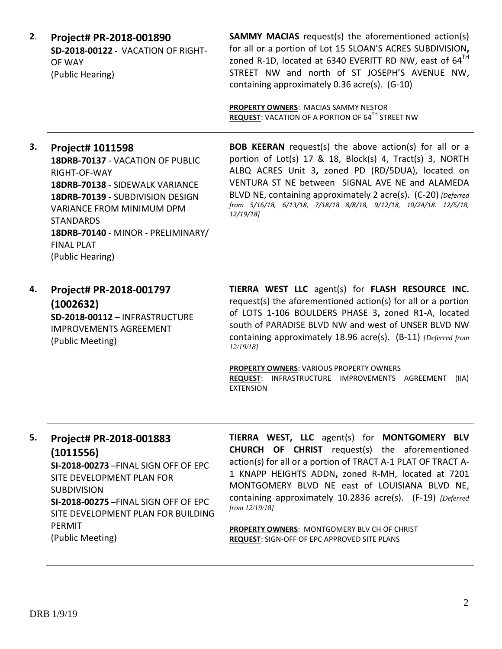**2**. **Project# PR-2018-001890 SD-2018-00122 -** VACATION OF RIGHT-OF WAY (Public Hearing)

**SAMMY MACIAS** request(s) the aforementioned action(s) for all or a portion of Lot 15 SLOAN'S ACRES SUBDIVISION**,**  zoned R-1D, located at 6340 EVERITT RD NW, east of  $64<sup>TH</sup>$ STREET NW and north of ST JOSEPH'S AVENUE NW, containing approximately 0.36 acre(s). (G-10)

**PROPERTY OWNERS**: MACIAS SAMMY NESTOR **REQUEST: VACATION OF A PORTION OF 64<sup>TH</sup> STREET NW** 

### **3. Project# 1011598**

**18DRB-70137** - VACATION OF PUBLIC RIGHT-OF-WAY **18DRB-70138** - SIDEWALK VARIANCE **18DRB-70139** - SUBDIVISION DESIGN VARIANCE FROM MINIMUM DPM STANDARDS **18DRB-70140** - MINOR - PRELIMINARY/ FINAL PLAT (Public Hearing)

**BOB KEERAN** request(s) the above action(s) for all or a portion of Lot(s) 17 & 18, Block(s) 4, Tract(s) 3, NORTH ALBQ ACRES Unit 3**,** zoned PD (RD/5DUA), located on VENTURA ST NE between SIGNAL AVE NE and ALAMEDA BLVD NE, containing approximately 2 acre(s). (C-20) *[Deferred from 5/16/18, 6/13/18, 7/18/18 8/8/18, 9/12/18, 10/24/18. 12/5/18, 12/19/18]*

**4. Project# PR-2018-001797 (1002632) SD-2018-00112 –** INFRASTRUCTURE IMPROVEMENTS AGREEMENT (Public Meeting)

**TIERRA WEST LLC** agent(s) for **FLASH RESOURCE INC.** request(s) the aforementioned action(s) for all or a portion of LOTS 1-106 BOULDERS PHASE 3**,** zoned R1-A, located south of PARADISE BLVD NW and west of UNSER BLVD NW containing approximately 18.96 acre(s). (B-11) *[Deferred from 12/19/18]*

**PROPERTY OWNERS**: VARIOUS PROPERTY OWNERS **REQUEST**: INFRASTRUCTURE IMPROVEMENTS AGREEMENT (IIA) EXTENSION

# **5. Project# PR-2018-001883 (1011556)**

**SI-2018-00273** –FINAL SIGN OFF OF EPC SITE DEVELOPMENT PLAN FOR **SUBDIVISION SI-2018-00275** –FINAL SIGN OFF OF EPC SITE DEVELOPMENT PLAN FOR BUILDING PERMIT (Public Meeting)

**TIERRA WEST, LLC** agent(s) for **MONTGOMERY BLV CHURCH OF CHRIST** request(s) the aforementioned action(s) for all or a portion of TRACT A-1 PLAT OF TRACT A-1 KNAPP HEIGHTS ADDN**,** zoned R-MH, located at 7201 MONTGOMERY BLVD NE east of LOUISIANA BLVD NE, containing approximately 10.2836 acre(s). (F-19) *[Deferred from 12/19/18]*

**PROPERTY OWNERS**: MONTGOMERY BLV CH OF CHRIST **REQUEST**: SIGN-OFF OF EPC APPROVED SITE PLANS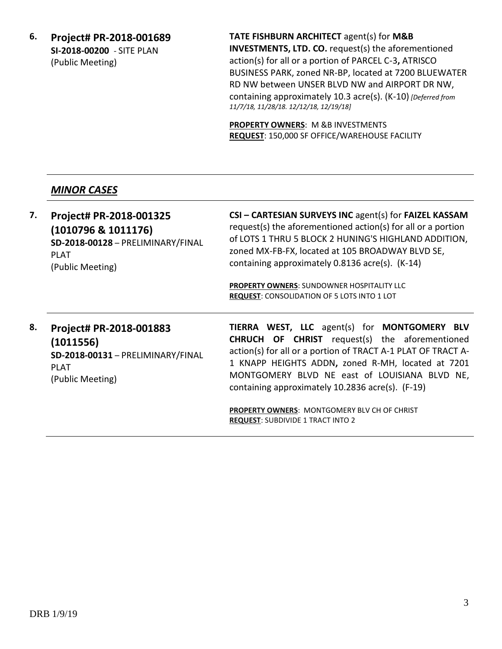**6. Project# PR-2018-001689 SI-2018-00200** - SITE PLAN (Public Meeting)

**TATE FISHBURN ARCHITECT** agent(s) for **M&B INVESTMENTS, LTD. CO.** request(s) the aforementioned action(s) for all or a portion of PARCEL C-3**,** ATRISCO BUSINESS PARK, zoned NR-BP, located at 7200 BLUEWATER RD NW between UNSER BLVD NW and AIRPORT DR NW, containing approximately 10.3 acre(s). (K-10) *[Deferred from 11/7/18, 11/28/18. 12/12/18, 12/19/18]*

**PROPERTY OWNERS**: M &B INVESTMENTS **REQUEST**: 150,000 SF OFFICE/WAREHOUSE FACILITY

# *MINOR CASES*

**7. Project# PR-2018-001325 (1010796 & 1011176) SD-2018-00128** – PRELIMINARY/FINAL PLAT (Public Meeting) **CSI – CARTESIAN SURVEYS INC** agent(s) for **FAIZEL KASSAM** request(s) the aforementioned action(s) for all or a portion of LOTS 1 THRU 5 BLOCK 2 HUNING'S HIGHLAND ADDITION, zoned MX-FB-FX, located at 105 BROADWAY BLVD SE, containing approximately 0.8136 acre(s). (K-14) **PROPERTY OWNERS**: SUNDOWNER HOSPITALITY LLC **REQUEST**: CONSOLIDATION OF 5 LOTS INTO 1 LOT **8. Project# PR-2018-001883 TIERRA WEST, LLC** agent(s) for **MONTGOMERY BLV** 

**(1011556) SD-2018-00131** – PRELIMINARY/FINAL PLAT (Public Meeting)

**CHRUCH OF CHRIST** request(s) the aforementioned action(s) for all or a portion of TRACT A-1 PLAT OF TRACT A-1 KNAPP HEIGHTS ADDN**,** zoned R-MH, located at 7201 MONTGOMERY BLVD NE east of LOUISIANA BLVD NE, containing approximately 10.2836 acre(s). (F-19)

**PROPERTY OWNERS**: MONTGOMERY BLV CH OF CHRIST **REQUEST**: SUBDIVIDE 1 TRACT INTO 2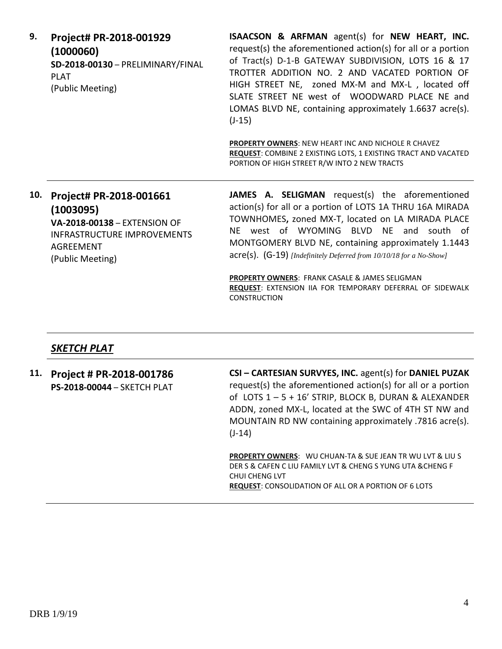| 9.  | Project# PR-2018-001929<br>(1000060)<br>SD-2018-00130 - PRELIMINARY/FINAL<br><b>PLAT</b><br>(Public Meeting)                          | <b>ISAACSON &amp; ARFMAN</b> agent(s) for NEW HEART, INC.<br>request(s) the aforementioned action(s) for all or a portion<br>of Tract(s) D-1-B GATEWAY SUBDIVISION, LOTS 16 & 17<br>TROTTER ADDITION NO. 2 AND VACATED PORTION OF<br>HIGH STREET NE, zoned MX-M and MX-L, located off<br>SLATE STREET NE west of WOODWARD PLACE NE and<br>LOMAS BLVD NE, containing approximately 1.6637 acre(s).<br>$(J-15)$ |
|-----|---------------------------------------------------------------------------------------------------------------------------------------|---------------------------------------------------------------------------------------------------------------------------------------------------------------------------------------------------------------------------------------------------------------------------------------------------------------------------------------------------------------------------------------------------------------|
|     |                                                                                                                                       | <b>PROPERTY OWNERS: NEW HEART INC AND NICHOLE R CHAVEZ</b><br><b>REQUEST: COMBINE 2 EXISTING LOTS, 1 EXISTING TRACT AND VACATED</b><br>PORTION OF HIGH STREET R/W INTO 2 NEW TRACTS                                                                                                                                                                                                                           |
| 10. | Project# PR-2018-001661<br>(1003095)<br><b>VA-2018-00138 - EXTENSION OF</b><br><b>INFRASTRUCTURE IMPROVEMENTS</b><br><b>ACDEEMENT</b> | <b>JAMES A. SELIGMAN</b> request(s) the aforementioned<br>action(s) for all or a portion of LOTS 1A THRU 16A MIRADA<br>TOWNHOMES, zoned MX-T, located on LA MIRADA PLACE<br>west of WYOMING<br>BLVD<br>NE and south of<br>NF.<br>MONTGOMERY BLVD NE, containing approximately 1.1443                                                                                                                          |

**PROPERTY OWNERS**: FRANK CASALE & JAMES SELIGMAN **REQUEST**: EXTENSION IIA FOR TEMPORARY DEFERRAL OF SIDEWALK CONSTRUCTION

acre(s). (G-19) *[Indefinitely Deferred from 10/10/18 for a No-Show]*

# *SKETCH PLAT*

AGREEMENT (Public Meeting)

**11. Project # PR-2018-001786 PS-2018-00044** – SKETCH PLAT **CSI – CARTESIAN SURVYES, INC.** agent(s) for **DANIEL PUZAK** request(s) the aforementioned action(s) for all or a portion of LOTS 1 – 5 + 16' STRIP, BLOCK B, DURAN & ALEXANDER ADDN, zoned MX-L, located at the SWC of 4TH ST NW and MOUNTAIN RD NW containing approximately .7816 acre(s). (J-14) **PROPERTY OWNERS**: WU CHUAN-TA & SUE JEAN TR WU LVT & LIU S DER S & CAFEN C LIU FAMILY LVT & CHENG S YUNG UTA &CHENG F CHUI CHENG LVT **REQUEST**: CONSOLIDATION OF ALL OR A PORTION OF 6 LOTS